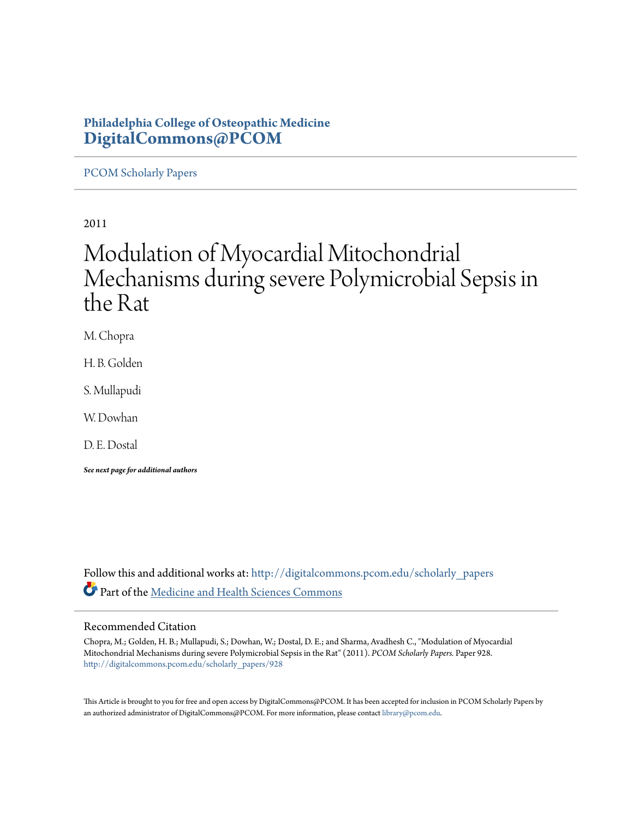# **Philadelphia College of Osteopathic Medicine [DigitalCommons@PCOM](http://digitalcommons.pcom.edu?utm_source=digitalcommons.pcom.edu%2Fscholarly_papers%2F928&utm_medium=PDF&utm_campaign=PDFCoverPages)**

[PCOM Scholarly Papers](http://digitalcommons.pcom.edu/scholarly_papers?utm_source=digitalcommons.pcom.edu%2Fscholarly_papers%2F928&utm_medium=PDF&utm_campaign=PDFCoverPages)

2011

# Modulation of Myocardial Mitochondrial Mechanisms during severe Polymicrobial Sepsis in the Rat

M. Chopra

H. B. Golden

S. Mullapudi

W. Dowhan

D. E. Dostal

*See next page for additional authors*

Follow this and additional works at: [http://digitalcommons.pcom.edu/scholarly\\_papers](http://digitalcommons.pcom.edu/scholarly_papers?utm_source=digitalcommons.pcom.edu%2Fscholarly_papers%2F928&utm_medium=PDF&utm_campaign=PDFCoverPages) Part of the [Medicine and Health Sciences Commons](http://network.bepress.com/hgg/discipline/648?utm_source=digitalcommons.pcom.edu%2Fscholarly_papers%2F928&utm_medium=PDF&utm_campaign=PDFCoverPages)

# Recommended Citation

Chopra, M.; Golden, H. B.; Mullapudi, S.; Dowhan, W.; Dostal, D. E.; and Sharma, Avadhesh C., "Modulation of Myocardial Mitochondrial Mechanisms during severe Polymicrobial Sepsis in the Rat" (2011). *PCOM Scholarly Papers.* Paper 928. [http://digitalcommons.pcom.edu/scholarly\\_papers/928](http://digitalcommons.pcom.edu/scholarly_papers/928?utm_source=digitalcommons.pcom.edu%2Fscholarly_papers%2F928&utm_medium=PDF&utm_campaign=PDFCoverPages)

This Article is brought to you for free and open access by DigitalCommons@PCOM. It has been accepted for inclusion in PCOM Scholarly Papers by an authorized administrator of DigitalCommons@PCOM. For more information, please contact [library@pcom.edu.](mailto:library@pcom.edu)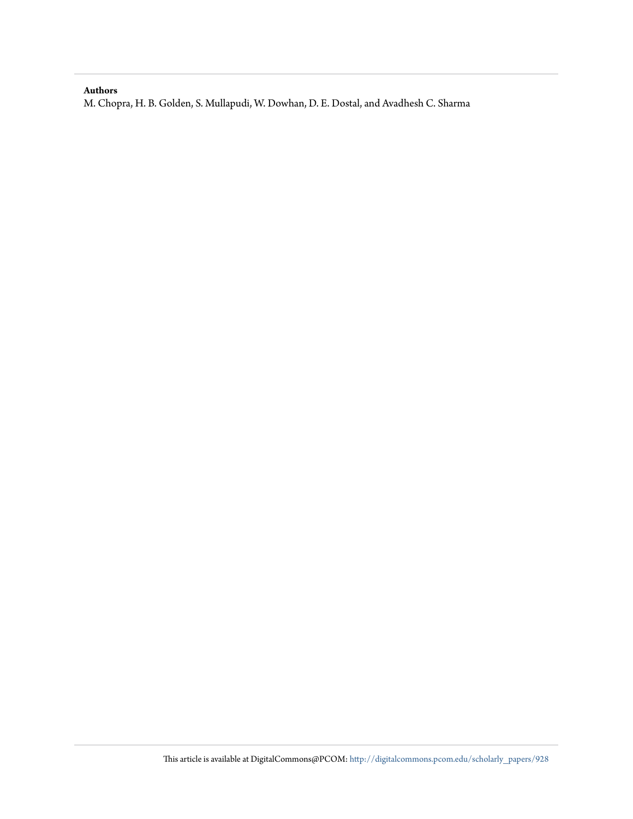# **Authors**

M. Chopra, H. B. Golden, S. Mullapudi, W. Dowhan, D. E. Dostal, and Avadhesh C. Sharma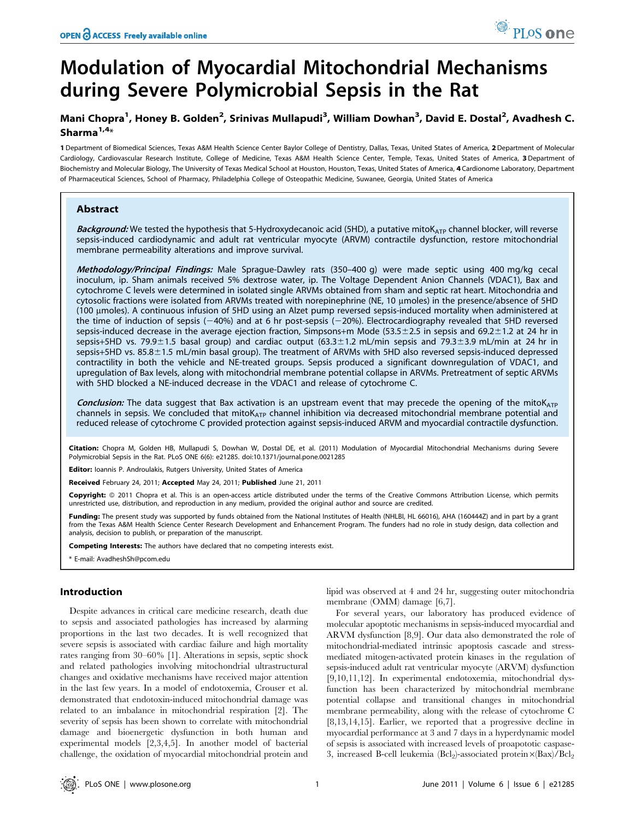# Modulation of Myocardial Mitochondrial Mechanisms during Severe Polymicrobial Sepsis in the Rat

# Mani Chopra<sup>1</sup>, Honey B. Golden<sup>2</sup>, Srinivas Mullapudi<sup>3</sup>, William Dowhan<sup>3</sup>, David E. Dostal<sup>2</sup>, Avadhesh C. Sharma $1,4*$

1 Department of Biomedical Sciences, Texas A&M Health Science Center Baylor College of Dentistry, Dallas, Texas, United States of America, 2 Department of Molecular Cardiology, Cardiovascular Research Institute, College of Medicine, Texas A&M Health Science Center, Temple, Texas, United States of America, 3 Department of Biochemistry and Molecular Biology, The University of Texas Medical School at Houston, Houston, Texas, United States of America, 4 Cardionome Laboratory, Department of Pharmaceutical Sciences, School of Pharmacy, Philadelphia College of Osteopathic Medicine, Suwanee, Georgia, United States of America

# Abstract

Background: We tested the hypothesis that 5-Hydroxydecanoic acid (5HD), a putative mitoK<sub>ATP</sub> channel blocker, will reverse sepsis-induced cardiodynamic and adult rat ventricular myocyte (ARVM) contractile dysfunction, restore mitochondrial membrane permeability alterations and improve survival.

Methodology/Principal Findings: Male Sprague-Dawley rats (350-400 g) were made septic using 400 mg/kg cecal inoculum, ip. Sham animals received 5% dextrose water, ip. The Voltage Dependent Anion Channels (VDAC1), Bax and cytochrome C levels were determined in isolated single ARVMs obtained from sham and septic rat heart. Mitochondria and cytosolic fractions were isolated from ARVMs treated with norepinephrine (NE, 10 umoles) in the presence/absence of 5HD (100 mmoles). A continuous infusion of 5HD using an Alzet pump reversed sepsis-induced mortality when administered at the time of induction of sepsis  $(-40%)$  and at 6 hr post-sepsis  $(-20%)$ . Electrocardiography revealed that 5HD reversed sepsis-induced decrease in the average ejection fraction, Simpsons+m Mode (53.5±2.5 in sepsis and 69.2±1.2 at 24 hr in sepsis+5HD vs. 79.9±1.5 basal group) and cardiac output (63.3±1.2 mL/min sepsis and 79.3±3.9 mL/min at 24 hr in sepsis+5HD vs. 85.8±1.5 mL/min basal group). The treatment of ARVMs with 5HD also reversed sepsis-induced depressed contractility in both the vehicle and NE-treated groups. Sepsis produced a significant downregulation of VDAC1, and upregulation of Bax levels, along with mitochondrial membrane potential collapse in ARVMs. Pretreatment of septic ARVMs with 5HD blocked a NE-induced decrease in the VDAC1 and release of cytochrome C.

Conclusion: The data suggest that Bax activation is an upstream event that may precede the opening of the mitoKATP channels in sepsis. We concluded that mito $K_{ATP}$  channel inhibition via decreased mitochondrial membrane potential and reduced release of cytochrome C provided protection against sepsis-induced ARVM and myocardial contractile dysfunction.

Citation: Chopra M, Golden HB, Mullapudi S, Dowhan W, Dostal DE, et al. (2011) Modulation of Myocardial Mitochondrial Mechanisms during Severe Polymicrobial Sepsis in the Rat. PLoS ONE 6(6): e21285. doi:10.1371/journal.pone.0021285

Editor: Ioannis P. Androulakis, Rutgers University, United States of America

Received February 24, 2011; Accepted May 24, 2011; Published June 21, 2011

Copyright: © 2011 Chopra et al. This is an open-access article distributed under the terms of the Creative Commons Attribution License, which permits unrestricted use, distribution, and reproduction in any medium, provided the original author and source are credited.

Funding: The present study was supported by funds obtained from the National Institutes of Health (NHLBI, HL 66016), AHA (160444Z) and in part by a grant from the Texas A&M Health Science Center Research Development and Enhancement Program. The funders had no role in study design, data collection and analysis, decision to publish, or preparation of the manuscript.

Competing Interests: The authors have declared that no competing interests exist.

\* E-mail: AvadheshSh@pcom.edu

# Introduction

Despite advances in critical care medicine research, death due to sepsis and associated pathologies has increased by alarming proportions in the last two decades. It is well recognized that severe sepsis is associated with cardiac failure and high mortality rates ranging from 30–60% [1]. Alterations in sepsis, septic shock and related pathologies involving mitochondrial ultrastructural changes and oxidative mechanisms have received major attention in the last few years. In a model of endotoxemia, Crouser et al. demonstrated that endotoxin-induced mitochondrial damage was related to an imbalance in mitochondrial respiration [2]. The severity of sepsis has been shown to correlate with mitochondrial damage and bioenergetic dysfunction in both human and experimental models [2,3,4,5]. In another model of bacterial challenge, the oxidation of myocardial mitochondrial protein and lipid was observed at 4 and 24 hr, suggesting outer mitochondria membrane (OMM) damage [6,7].

For several years, our laboratory has produced evidence of molecular apoptotic mechanisms in sepsis-induced myocardial and ARVM dysfunction [8,9]. Our data also demonstrated the role of mitochondrial-mediated intrinsic apoptosis cascade and stressmediated mitogen-activated protein kinases in the regulation of sepsis-induced adult rat ventricular myocyte (ARVM) dysfunction [9,10,11,12]. In experimental endotoxemia, mitochondrial dysfunction has been characterized by mitochondrial membrane potential collapse and transitional changes in mitochondrial membrane permeability, along with the release of cytochrome C [8,13,14,15]. Earlier, we reported that a progressive decline in myocardial performance at 3 and 7 days in a hyperdynamic model of sepsis is associated with increased levels of proapototic caspase-3, increased B-cell leukemia ( $Bcl<sub>2</sub>$ )-associated protein $\times(Bax)/Bcl<sub>2</sub>$ 

PLoS one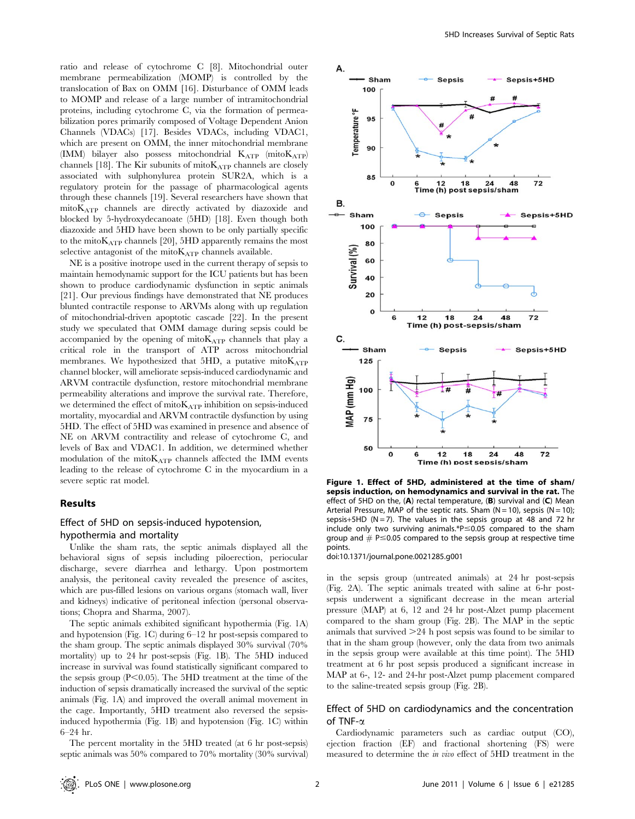ratio and release of cytochrome C [8]. Mitochondrial outer membrane permeabilization (MOMP) is controlled by the translocation of Bax on OMM [16]. Disturbance of OMM leads to MOMP and release of a large number of intramitochondrial proteins, including cytochrome C, via the formation of permeabilization pores primarily composed of Voltage Dependent Anion Channels (VDACs) [17]. Besides VDACs, including VDAC1, which are present on OMM, the inner mitochondrial membrane (IMM) bilayer also possess mitochondrial  $K_{ATP}$  (mito $K_{ATP}$ ) channels [18]. The Kir subunits of mito $K_{ATP}$  channels are closely associated with sulphonylurea protein SUR2A, which is a regulatory protein for the passage of pharmacological agents through these channels [19]. Several researchers have shown that mitoKATP channels are directly activated by diazoxide and blocked by 5-hydroxydecanoate (5HD) [18]. Even though both diazoxide and 5HD have been shown to be only partially specific to the mito $K_{ATP}$  channels [20], 5HD apparently remains the most selective antagonist of the mito $K_{ATP}$  channels available.

NE is a positive inotrope used in the current therapy of sepsis to maintain hemodynamic support for the ICU patients but has been shown to produce cardiodynamic dysfunction in septic animals [21]. Our previous findings have demonstrated that NE produces blunted contractile response to ARVMs along with up regulation of mitochondrial-driven apoptotic cascade [22]. In the present study we speculated that OMM damage during sepsis could be accompanied by the opening of mito $K_{ATP}$  channels that play a critical role in the transport of ATP across mitochondrial membranes. We hypothesized that 5HD, a putative mitoKATP channel blocker, will ameliorate sepsis-induced cardiodynamic and ARVM contractile dysfunction, restore mitochondrial membrane permeability alterations and improve the survival rate. Therefore, we determined the effect of mitoKATP inhibition on sepsis-induced mortality, myocardial and ARVM contractile dysfunction by using 5HD. The effect of 5HD was examined in presence and absence of NE on ARVM contractility and release of cytochrome C, and levels of Bax and VDAC1. In addition, we determined whether modulation of the mitoKATP channels affected the IMM events leading to the release of cytochrome C in the myocardium in a severe septic rat model.

### Results

# Effect of 5HD on sepsis-induced hypotension, hypothermia and mortality

Unlike the sham rats, the septic animals displayed all the behavioral signs of sepsis including piloerection, periocular discharge, severe diarrhea and lethargy. Upon postmortem analysis, the peritoneal cavity revealed the presence of ascites, which are pus-filled lesions on various organs (stomach wall, liver and kidneys) indicative of peritoneal infection (personal observations; Chopra and Sharma, 2007).

The septic animals exhibited significant hypothermia (Fig. 1A) and hypotension (Fig. 1C) during 6–12 hr post-sepsis compared to the sham group. The septic animals displayed 30% survival (70% mortality) up to 24 hr post-sepsis (Fig. 1B). The 5HD induced increase in survival was found statistically significant compared to the sepsis group  $(P<0.05)$ . The 5HD treatment at the time of the induction of sepsis dramatically increased the survival of the septic animals (Fig. 1A) and improved the overall animal movement in the cage. Importantly, 5HD treatment also reversed the sepsisinduced hypothermia (Fig. 1B) and hypotension (Fig. 1C) within 6–24 hr.



Figure 1. Effect of 5HD, administered at the time of sham/ sepsis induction, on hemodynamics and survival in the rat. The effect of 5HD on the, (A) rectal temperature, (B) survival and (C) Mean Arterial Pressure, MAP of the septic rats. Sham ( $N = 10$ ), sepsis ( $N = 10$ ); sepsis+5HD ( $N = 7$ ). The values in the sepsis group at 48 and 72 hr include only two surviving animals.\* $P \le 0.05$  compared to the sham group and  $#$  P $\leq$ 0.05 compared to the sepsis group at respective time points.

doi:10.1371/journal.pone.0021285.g001

in the sepsis group (untreated animals) at 24 hr post-sepsis (Fig. 2A). The septic animals treated with saline at 6-hr postsepsis underwent a significant decrease in the mean arterial pressure (MAP) at 6, 12 and 24 hr post-Alzet pump placement compared to the sham group (Fig. 2B). The MAP in the septic animals that survived  $>$  24 h post sepsis was found to be similar to that in the sham group (however, only the data from two animals in the sepsis group were available at this time point). The 5HD treatment at 6 hr post sepsis produced a significant increase in MAP at 6-, 12- and 24-hr post-Alzet pump placement compared to the saline-treated sepsis group (Fig. 2B).

# Effect of 5HD on cardiodynamics and the concentration of TNF- $\alpha$

Cardiodynamic parameters such as cardiac output (CO), ejection fraction (EF) and fractional shortening (FS) were measured to determine the in vivo effect of 5HD treatment in the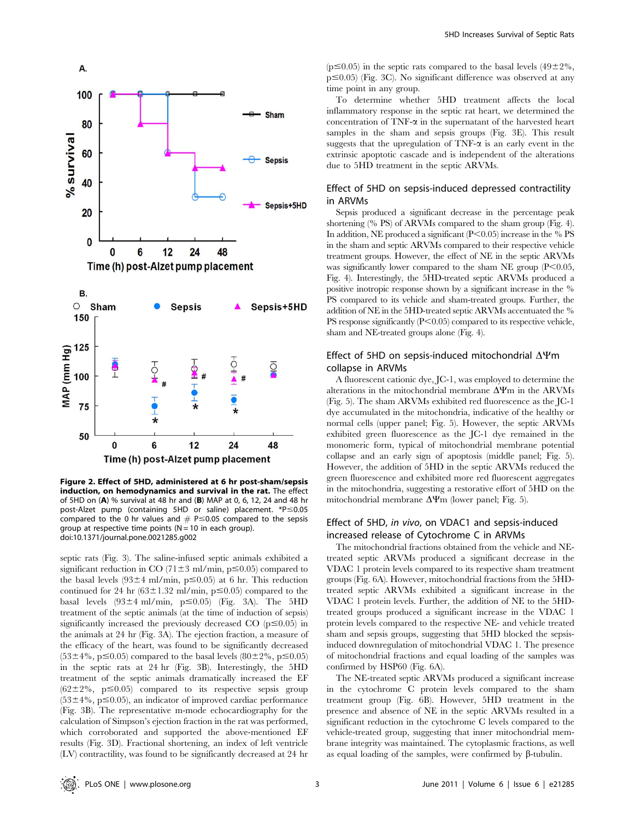

Figure 2. Effect of 5HD, administered at 6 hr post-sham/sepsis induction, on hemodynamics and survival in the rat. The effect of 5HD on (A) % survival at 48 hr and (B) MAP at 0, 6, 12, 24 and 48 hr post-Alzet pump (containing 5HD or saline) placement.  $*P \le 0.05$ compared to the 0 hr values and  $# P \le 0.05$  compared to the sepsis group at respective time points ( $N = 10$  in each group). doi:10.1371/journal.pone.0021285.g002

septic rats (Fig. 3). The saline-infused septic animals exhibited a significant reduction in CO (71 $\pm$ 3 ml/min, p $\leq$ 0.05) compared to the basal levels  $(93±4$  ml/min, p  $\leq 0.05$ ) at 6 hr. This reduction continued for 24 hr ( $63\pm1.32$  ml/min, p $\leq$ 0.05) compared to the basal levels  $(93±4$  ml/min,  $p \le 0.05$ ) (Fig. 3A). The 5HD treatment of the septic animals (at the time of induction of sepsis) significantly increased the previously decreased CO  $(p \le 0.05)$  in the animals at 24 hr (Fig. 3A). The ejection fraction, a measure of the efficacy of the heart, was found to be significantly decreased  $(53\pm4\%, p \le 0.05)$  compared to the basal levels  $(80\pm2\%, p \le 0.05)$ in the septic rats at 24 hr (Fig. 3B). Interestingly, the 5HD treatment of the septic animals dramatically increased the EF  $(62\pm2\%, p \le 0.05)$  compared to its respective sepsis group  $(53\pm4\%, p \le 0.05)$ , an indicator of improved cardiac performance (Fig. 3B). The representative m-mode echocardiography for the calculation of Simpson's ejection fraction in the rat was performed, which corroborated and supported the above-mentioned EF results (Fig. 3D). Fractional shortening, an index of left ventricle (LV) contractility, was found to be significantly decreased at 24 hr

 $(p \le 0.05)$  in the septic rats compared to the basal levels (49±2%,  $p \leq 0.05$ ) (Fig. 3C). No significant difference was observed at any time point in any group.

To determine whether 5HD treatment affects the local inflammatory response in the septic rat heart, we determined the concentration of TNF-a in the supernatant of the harvested heart samples in the sham and sepsis groups (Fig. 3E). This result suggests that the upregulation of  $TNF-\alpha$  is an early event in the extrinsic apoptotic cascade and is independent of the alterations due to 5HD treatment in the septic ARVMs.

# Effect of 5HD on sepsis-induced depressed contractility in ARVMs

Sepsis produced a significant decrease in the percentage peak shortening (% PS) of ARVMs compared to the sham group (Fig. 4). In addition, NE produced a significant  $(P<0.05)$  increase in the % PS in the sham and septic ARVMs compared to their respective vehicle treatment groups. However, the effect of NE in the septic ARVMs was significantly lower compared to the sham NE group  $(P<0.05$ , Fig. 4). Interestingly, the 5HD-treated septic ARVMs produced a positive inotropic response shown by a significant increase in the % PS compared to its vehicle and sham-treated groups. Further, the addition of NE in the 5HD-treated septic ARVMs accentuated the % PS response significantly  $(P<0.05)$  compared to its respective vehicle, sham and NE-treated groups alone (Fig. 4).

# Effect of 5HD on sepsis-induced mitochondrial  $\Delta \Psi$ m collapse in ARVMs

A fluorescent cationic dye, JC-1, was employed to determine the alterations in the mitochondrial membrane  $\Delta \Psi$ m in the ARVMs (Fig. 5). The sham ARVMs exhibited red fluorescence as the JC-1 dye accumulated in the mitochondria, indicative of the healthy or normal cells (upper panel; Fig. 5). However, the septic ARVMs exhibited green fluorescence as the JC-1 dye remained in the monomeric form, typical of mitochondrial membrane potential collapse and an early sign of apoptosis (middle panel; Fig. 5). However, the addition of 5HD in the septic ARVMs reduced the green fluorescence and exhibited more red fluorescent aggregates in the mitochondria, suggesting a restorative effort of 5HD on the mitochondrial membrane  $\Delta \Psi$ m (lower panel; Fig. 5).

# Effect of 5HD, in vivo, on VDAC1 and sepsis-induced increased release of Cytochrome C in ARVMs

The mitochondrial fractions obtained from the vehicle and NEtreated septic ARVMs produced a significant decrease in the VDAC 1 protein levels compared to its respective sham treatment groups (Fig. 6A). However, mitochondrial fractions from the 5HDtreated septic ARVMs exhibited a significant increase in the VDAC 1 protein levels. Further, the addition of NE to the 5HDtreated groups produced a significant increase in the VDAC 1 protein levels compared to the respective NE- and vehicle treated sham and sepsis groups, suggesting that 5HD blocked the sepsisinduced downregulation of mitochondrial VDAC 1. The presence of mitochondrial fractions and equal loading of the samples was confirmed by HSP60 (Fig. 6A).

The NE-treated septic ARVMs produced a significant increase in the cytochrome C protein levels compared to the sham treatment group (Fig. 6B). However, 5HD treatment in the presence and absence of NE in the septic ARVMs resulted in a significant reduction in the cytochrome C levels compared to the vehicle-treated group, suggesting that inner mitochondrial membrane integrity was maintained. The cytoplasmic fractions, as well as equal loading of the samples, were confirmed by  $\beta$ -tubulin.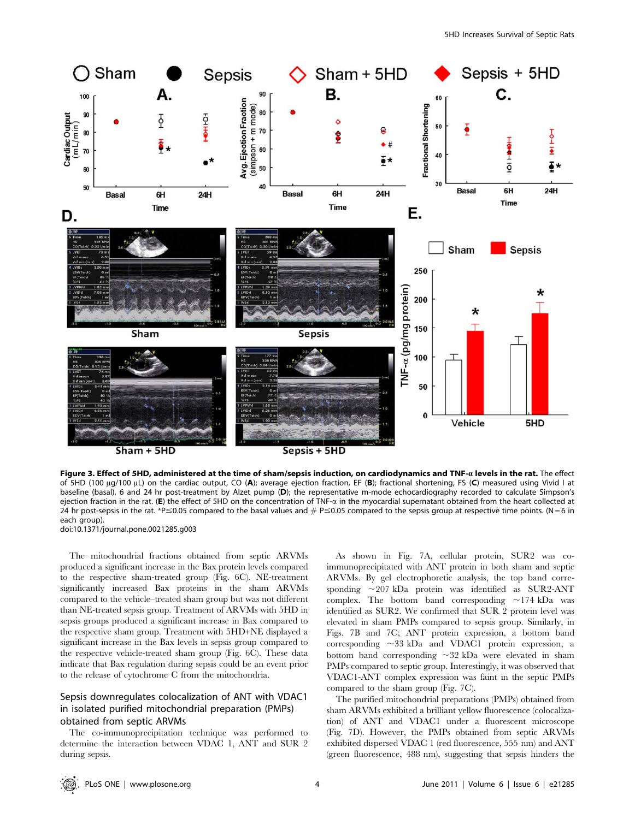

 $Sham + SHD$ 

Sepsis + 5HD

Figure 3. Effect of 5HD, administered at the time of sham/sepsis induction, on cardiodynamics and TNF- $a$  levels in the rat. The effect of 5HD (100  $\mu$ q/100  $\mu$ L) on the cardiac output, CO (A); average ejection fraction, EF (B); fractional shortening, FS (C) measured using Vivid I at baseline (basal), 6 and 24 hr post-treatment by Alzet pump (D); the representative m-mode echocardiography recorded to calculate Simpson's ejection fraction in the rat. (E) the effect of 5HD on the concentration of TNF- $\alpha$  in the myocardial supernatant obtained from the heart collected at 24 hr post-sepsis in the rat. \*P  $\leq$  0.05 compared to the basal values and  $#$  P $\leq$  0.05 compared to the sepsis group at respective time points. (N = 6 in each group).

doi:10.1371/journal.pone.0021285.g003

The mitochondrial fractions obtained from septic ARVMs produced a significant increase in the Bax protein levels compared to the respective sham-treated group (Fig. 6C). NE-treatment significantly increased Bax proteins in the sham ARVMs compared to the vehicle–treated sham group but was not different than NE-treated sepsis group. Treatment of ARVMs with 5HD in sepsis groups produced a significant increase in Bax compared to the respective sham group. Treatment with 5HD+NE displayed a significant increase in the Bax levels in sepsis group compared to the respective vehicle-treated sham group (Fig. 6C). These data indicate that Bax regulation during sepsis could be an event prior to the release of cytochrome C from the mitochondria.

# Sepsis downregulates colocalization of ANT with VDAC1 in isolated purified mitochondrial preparation (PMPs) obtained from septic ARVMs

The co-immunoprecipitation technique was performed to determine the interaction between VDAC 1, ANT and SUR 2 during sepsis.

As shown in Fig. 7A, cellular protein, SUR2 was coimmunoprecipitated with ANT protein in both sham and septic ARVMs. By gel electrophoretic analysis, the top band corresponding  $\sim$ 207 kDa protein was identified as SUR2-ANT complex. The bottom band corresponding  $\sim$ 174 kDa was identified as SUR2. We confirmed that SUR 2 protein level was elevated in sham PMPs compared to sepsis group. Similarly, in Figs. 7B and 7C; ANT protein expression, a bottom band corresponding  $\sim$ 33 kDa and VDAC1 protein expression, a bottom band corresponding  $\sim$ 32 kDa were elevated in sham PMPs compared to septic group. Interestingly, it was observed that VDAC1-ANT complex expression was faint in the septic PMPs compared to the sham group (Fig. 7C).

The purified mitochondrial preparations (PMPs) obtained from sham ARVMs exhibited a brilliant yellow fluorescence (colocalization) of ANT and VDAC1 under a fluorescent microscope (Fig. 7D). However, the PMPs obtained from septic ARVMs exhibited dispersed VDAC 1 (red fluorescence, 555 nm) and ANT (green fluorescence, 488 nm), suggesting that sepsis hinders the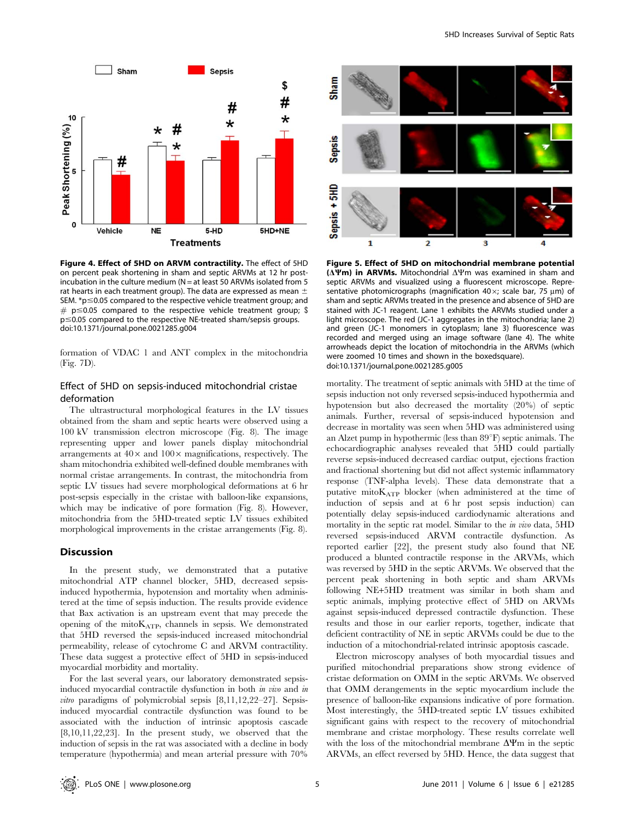

Figure 4. Effect of 5HD on ARVM contractility. The effect of 5HD on percent peak shortening in sham and septic ARVMs at 12 hr postincubation in the culture medium ( $N = at$  least 50 ARVMs isolated from 5 rat hearts in each treatment group). The data are expressed as mean  $\pm$ SEM.  $*p \le 0.05$  compared to the respective vehicle treatment group; and  $#$  p  $\leq$  0.05 compared to the respective vehicle treatment group; \$  $p \le 0.05$  compared to the respective NE-treated sham/sepsis groups. doi:10.1371/journal.pone.0021285.g004

formation of VDAC 1 and ANT complex in the mitochondria (Fig. 7D).

# Effect of 5HD on sepsis-induced mitochondrial cristae deformation

The ultrastructural morphological features in the LV tissues obtained from the sham and septic hearts were observed using a 100 kV transmission electron microscope (Fig. 8). The image representing upper and lower panels display mitochondrial arrangements at  $40\times$  and  $100\times$  magnifications, respectively. The sham mitochondria exhibited well-defined double membranes with normal cristae arrangements. In contrast, the mitochondria from septic LV tissues had severe morphological deformations at 6 hr post-sepsis especially in the cristae with balloon-like expansions, which may be indicative of pore formation (Fig. 8). However, mitochondria from the 5HD-treated septic LV tissues exhibited morphological improvements in the cristae arrangements (Fig. 8).

# Discussion

In the present study, we demonstrated that a putative mitochondrial ATP channel blocker, 5HD, decreased sepsisinduced hypothermia, hypotension and mortality when administered at the time of sepsis induction. The results provide evidence that Bax activation is an upstream event that may precede the opening of the mito $K_{ATP}$ , channels in sepsis. We demonstrated that 5HD reversed the sepsis-induced increased mitochondrial permeability, release of cytochrome C and ARVM contractility. These data suggest a protective effect of 5HD in sepsis-induced myocardial morbidity and mortality.

For the last several years, our laboratory demonstrated sepsisinduced myocardial contractile dysfunction in both in vivo and in vitro paradigms of polymicrobial sepsis [8,11,12,22–27]. Sepsisinduced myocardial contractile dysfunction was found to be associated with the induction of intrinsic apoptosis cascade [8,10,11,22,23]. In the present study, we observed that the induction of sepsis in the rat was associated with a decline in body temperature (hypothermia) and mean arterial pressure with 70%



Figure 5. Effect of 5HD on mitochondrial membrane potential ( $\Delta \Psi$ m) in ARVMs. Mitochondrial  $\Delta \Psi$ m was examined in sham and septic ARVMs and visualized using a fluorescent microscope. Representative photomicrographs (magnification 40 $\times$ ; scale bar, 75  $\mu$ m) of sham and septic ARVMs treated in the presence and absence of 5HD are stained with JC-1 reagent. Lane 1 exhibits the ARVMs studied under a light microscope. The red (JC-1 aggregates in the mitochondria; lane 2) and green (JC-1 monomers in cytoplasm; lane 3) fluorescence was recorded and merged using an image software (lane 4). The white arrowheads depict the location of mitochondria in the ARVMs (which were zoomed 10 times and shown in the boxedsquare). doi:10.1371/journal.pone.0021285.g005

mortality. The treatment of septic animals with 5HD at the time of sepsis induction not only reversed sepsis-induced hypothermia and hypotension but also decreased the mortality (20%) of septic animals. Further, reversal of sepsis-induced hypotension and decrease in mortality was seen when 5HD was administered using an Alzet pump in hypothermic (less than  $89^{\circ}$ F) septic animals. The echocardiographic analyses revealed that 5HD could partially reverse sepsis-induced decreased cardiac output, ejections fraction and fractional shortening but did not affect systemic inflammatory response (TNF-alpha levels). These data demonstrate that a putative mito $K_{ATP}$  blocker (when administered at the time of induction of sepsis and at 6 hr post sepsis induction) can potentially delay sepsis-induced cardiodynamic alterations and mortality in the septic rat model. Similar to the in vivo data, 5HD reversed sepsis-induced ARVM contractile dysfunction. As reported earlier [22], the present study also found that NE produced a blunted contractile response in the ARVMs, which was reversed by 5HD in the septic ARVMs. We observed that the percent peak shortening in both septic and sham ARVMs following NE+5HD treatment was similar in both sham and septic animals, implying protective effect of 5HD on ARVMs against sepsis-induced depressed contractile dysfunction. These results and those in our earlier reports, together, indicate that deficient contractility of NE in septic ARVMs could be due to the induction of a mitochondrial-related intrinsic apoptosis cascade.

Electron microscopy analyses of both myocardial tissues and purified mitochondrial preparations show strong evidence of cristae deformation on OMM in the septic ARVMs. We observed that OMM derangements in the septic myocardium include the presence of balloon-like expansions indicative of pore formation. Most interestingly, the 5HD-treated septic LV tissues exhibited significant gains with respect to the recovery of mitochondrial membrane and cristae morphology. These results correlate well with the loss of the mitochondrial membrane  $\Delta \Psi$ m in the septic ARVMs, an effect reversed by 5HD. Hence, the data suggest that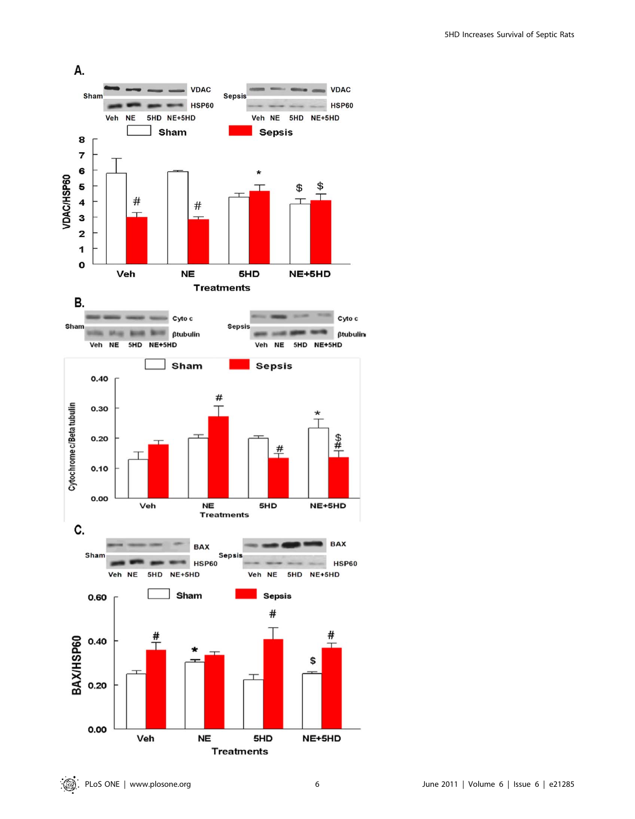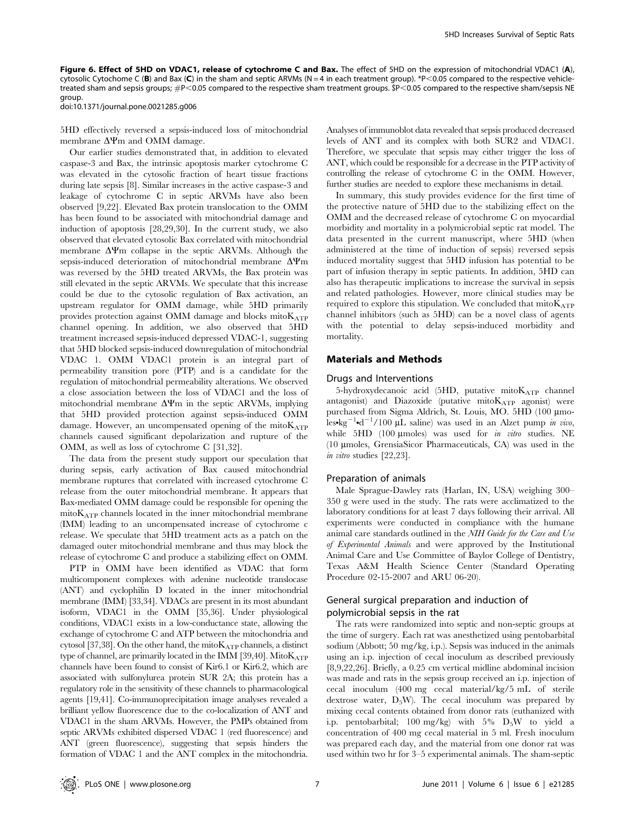Figure 6. Effect of 5HD on VDAC1, release of cytochrome C and Bax. The effect of 5HD on the expression of mitochondrial VDAC1 (A), cytosolic Cytochome C (B) and Bax (C) in the sham and septic ARVMs (N = 4 in each treatment group). \*P<0.05 compared to the respective vehicletreated sham and sepsis groups;  $\#P<0.05$  compared to the respective sham treatment groups. \$P<0.05 compared to the respective sham/sepsis NE group.

doi:10.1371/journal.pone.0021285.g006

5HD effectively reversed a sepsis-induced loss of mitochondrial membrane  $\Delta \Psi$ m and OMM damage.

Our earlier studies demonstrated that, in addition to elevated caspase-3 and Bax, the intrinsic apoptosis marker cytochrome C was elevated in the cytosolic fraction of heart tissue fractions during late sepsis [8]. Similar increases in the active caspase-3 and leakage of cytochrome C in septic ARVMs have also been observed [9,22]. Elevated Bax protein translocation to the OMM has been found to be associated with mitochondrial damage and induction of apoptosis [28,29,30]. In the current study, we also observed that elevated cytosolic Bax correlated with mitochondrial membrane  $\Delta \Psi$ m collapse in the septic ARVMs. Although the sepsis-induced deterioration of mitochondrial membrane  $\Delta \Psi$ m was reversed by the 5HD treated ARVMs, the Bax protein was still elevated in the septic ARVMs. We speculate that this increase could be due to the cytosolic regulation of Bax activation, an upstream regulator for OMM damage, while 5HD primarily provides protection against OMM damage and blocks mito $K_{ATP}$ channel opening. In addition, we also observed that 5HD treatment increased sepsis-induced depressed VDAC-1, suggesting that 5HD blocked sepsis-induced downregulation of mitochondrial VDAC 1. OMM VDAC1 protein is an integral part of permeability transition pore (PTP) and is a candidate for the regulation of mitochondrial permeability alterations. We observed a close association between the loss of VDAC1 and the loss of mitochondrial membrane  $\Delta \Psi$ m in the septic ARVMs, implying that 5HD provided protection against sepsis-induced OMM damage. However, an uncompensated opening of the mito $K_{ATP}$ channels caused significant depolarization and rupture of the OMM, as well as loss of cytochrome C [31,32].

The data from the present study support our speculation that during sepsis, early activation of Bax caused mitochondrial membrane ruptures that correlated with increased cytochrome C release from the outer mitochondrial membrane. It appears that Bax-mediated OMM damage could be responsible for opening the  $mito$ K<sub>ATP</sub> channels located in the inner mitochondrial membrane (IMM) leading to an uncompensated increase of cytochrome c release. We speculate that 5HD treatment acts as a patch on the damaged outer mitochondrial membrane and thus may block the release of cytochrome C and produce a stabilizing effect on OMM.

PTP in OMM have been identified as VDAC that form multicomponent complexes with adenine nucleotide translocase (ANT) and cyclophilin D located in the inner mitochondrial membrane (IMM) [33,34]. VDACs are present in its most abundant isoform, VDAC1 in the OMM [35,36]. Under physiological conditions, VDAC1 exists in a low-conductance state, allowing the exchange of cytochrome C and ATP between the mitochondria and cytosol [37,38]. On the other hand, the mito $K_{ATP}$  channels, a distinct type of channel, are primarily located in the IMM [39,40]. Mito $K_{ATP}$ channels have been found to consist of Kir6.1 or Kir6.2, which are associated with sulfonylurea protein SUR 2A; this protein has a regulatory role in the sensitivity of these channels to pharmacological agents [19,41]. Co-immunoprecipitation image analyses revealed a brilliant yellow fluorescence due to the co-localization of ANT and VDAC1 in the sham ARVMs. However, the PMPs obtained from septic ARVMs exhibited dispersed VDAC 1 (red fluorescence) and ANT (green fluorescence), suggesting that sepsis hinders the formation of VDAC 1 and the ANT complex in the mitochondria.

Analyses of immunoblot data revealed that sepsis produced decreased levels of ANT and its complex with both SUR2 and VDAC1. Therefore, we speculate that sepsis may either trigger the loss of ANT, which could be responsible for a decrease in the PTP activity of controlling the release of cytochrome C in the OMM. However, further studies are needed to explore these mechanisms in detail.

In summary, this study provides evidence for the first time of the protective nature of 5HD due to the stabilizing effect on the OMM and the decreased release of cytochrome C on myocardial morbidity and mortality in a polymicrobial septic rat model. The data presented in the current manuscript, where 5HD (when administered at the time of induction of sepsis) reversed sepsis induced mortality suggest that 5HD infusion has potential to be part of infusion therapy in septic patients. In addition, 5HD can also has therapeutic implications to increase the survival in sepsis and related pathologies. However, more clinical studies may be required to explore this stipulation. We concluded that mito $K_{ATP}$ channel inhibitors (such as 5HD) can be a novel class of agents with the potential to delay sepsis-induced morbidity and mortality.

# Materials and Methods

#### Drugs and Interventions

5-hydroxydecanoic acid (5HD, putative mito $K_{ATP}$  channel antagonist) and Diazoxide (putative mito $K_{ATP}$  agonist) were purchased from Sigma Aldrich, St. Louis, MO. 5HD (100 µmoles•kg<sup>-1</sup>•d<sup>-1</sup>/100 µL saline) was used in an Alzet pump *in vivo*, while  $5HD$  (100 µmoles) was used for in vitro studies. NE (10 mmoles, GrensiaSicor Pharmaceuticals, CA) was used in the in vitro studies [22,23].

#### Preparation of animals

Male Sprague-Dawley rats (Harlan, IN, USA) weighing 300– 350 g were used in the study. The rats were acclimatized to the laboratory conditions for at least 7 days following their arrival. All experiments were conducted in compliance with the humane animal care standards outlined in the NIH Guide for the Care and Use of Experimental Animals and were approved by the Institutional Animal Care and Use Committee of Baylor College of Dentistry, Texas A&M Health Science Center (Standard Operating Procedure 02-15-2007 and ARU 06-20).

# General surgical preparation and induction of polymicrobial sepsis in the rat

The rats were randomized into septic and non-septic groups at the time of surgery. Each rat was anesthetized using pentobarbital sodium (Abbott; 50 mg/kg, i.p.). Sepsis was induced in the animals using an i.p. injection of cecal inoculum as described previously [8,9,22,26]. Briefly, a 0.25 cm vertical midline abdominal incision was made and rats in the sepsis group received an i.p. injection of cecal inoculum (400 mg cecal material/kg/5 mL of sterile dextrose water,  $D_5W$ ). The cecal inoculum was prepared by mixing cecal contents obtained from donor rats (euthanized with i.p. pentobarbital; 100 mg/kg) with  $5\%$   $D_5W$  to yield a concentration of 400 mg cecal material in 5 ml. Fresh inoculum was prepared each day, and the material from one donor rat was used within two hr for 3–5 experimental animals. The sham-septic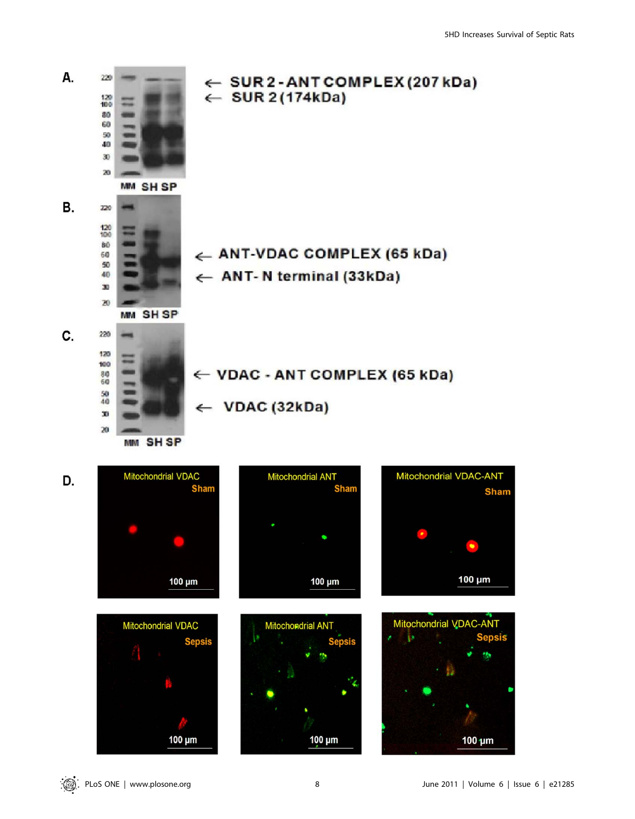

100 µm

100 µm

 $100 \mu m$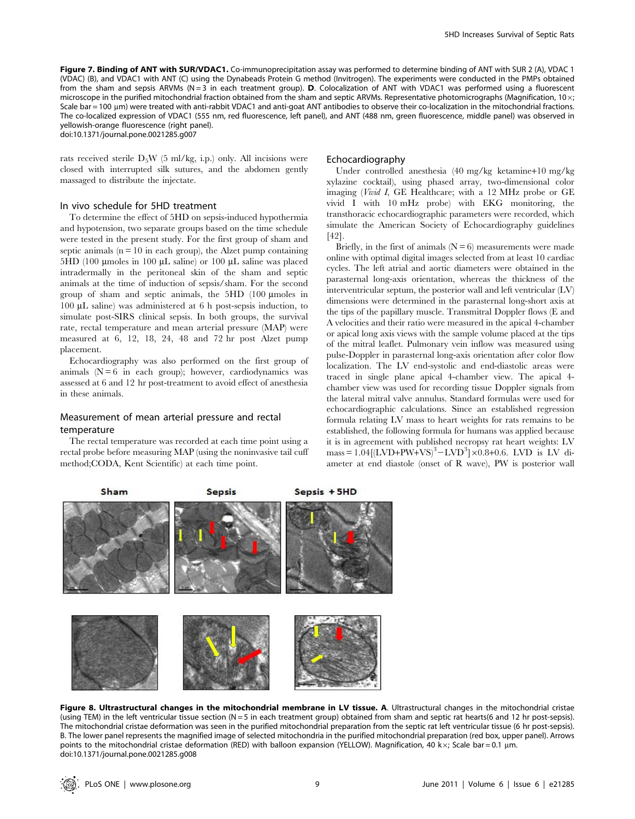Figure 7. Binding of ANT with SUR/VDAC1. Co-immunoprecipitation assay was performed to determine binding of ANT with SUR 2 (A), VDAC 1 (VDAC) (B), and VDAC1 with ANT (C) using the Dynabeads Protein G method (Invitrogen). The experiments were conducted in the PMPs obtained from the sham and sepsis ARVMs (N=3 in each treatment group). D. Colocalization of ANT with VDAC1 was performed using a fluorescent microscope in the purified mitochondrial fraction obtained from the sham and septic ARVMs. Representative photomicrographs (Magnification, 10 $\times$ ; Scale bar = 100 um) were treated with anti-rabbit VDAC1 and anti-goat ANT antibodies to observe their co-localization in the mitochondrial fractions. The co-localized expression of VDAC1 (555 nm, red fluorescence, left panel), and ANT (488 nm, green fluorescence, middle panel) was observed in yellowish-orange fluorescence (right panel).

doi:10.1371/journal.pone.0021285.g007

rats received sterile  $D_5W$  (5 ml/kg, i.p.) only. All incisions were closed with interrupted silk sutures, and the abdomen gently massaged to distribute the injectate.

# In vivo schedule for 5HD treatment

To determine the effect of 5HD on sepsis-induced hypothermia and hypotension, two separate groups based on the time schedule were tested in the present study. For the first group of sham and septic animals  $(n = 10$  in each group), the Alzet pump containing  $5HD$  (100 µmoles in 100 µL saline) or 100 µL saline was placed intradermally in the peritoneal skin of the sham and septic animals at the time of induction of sepsis/sham. For the second group of sham and septic animals, the 5HD (100 mmoles in 100 mL saline) was administered at 6 h post-sepsis induction, to simulate post-SIRS clinical sepsis. In both groups, the survival rate, rectal temperature and mean arterial pressure (MAP) were measured at 6, 12, 18, 24, 48 and 72 hr post Alzet pump placement.

Echocardiography was also performed on the first group of animals  $(N = 6$  in each group); however, cardiodynamics was assessed at 6 and 12 hr post-treatment to avoid effect of anesthesia in these animals.

# Measurement of mean arterial pressure and rectal temperature

Sham

The rectal temperature was recorded at each time point using a rectal probe before measuring MAP (using the noninvasive tail cuff method;CODA, Kent Scientific) at each time point.

#### Echocardiography

Under controlled anesthesia (40 mg/kg ketamine+10 mg/kg xylazine cocktail), using phased array, two-dimensional color imaging (Vivid I, GE Healthcare; with a 12 MHz probe or GE vivid I with 10 mHz probe) with EKG monitoring, the transthoracic echocardiographic parameters were recorded, which simulate the American Society of Echocardiography guidelines [42].

Briefly, in the first of animals  $(N = 6)$  measurements were made online with optimal digital images selected from at least 10 cardiac cycles. The left atrial and aortic diameters were obtained in the parasternal long-axis orientation, whereas the thickness of the interventricular septum, the posterior wall and left ventricular (LV) dimensions were determined in the parasternal long-short axis at the tips of the papillary muscle. Transmitral Doppler flows (E and A velocities and their ratio were measured in the apical 4-chamber or apical long axis views with the sample volume placed at the tips of the mitral leaflet. Pulmonary vein inflow was measured using pulse-Doppler in parasternal long-axis orientation after color flow localization. The LV end-systolic and end-diastolic areas were traced in single plane apical 4-chamber view. The apical 4 chamber view was used for recording tissue Doppler signals from the lateral mitral valve annulus. Standard formulas were used for echocardiographic calculations. Since an established regression formula relating LV mass to heart weights for rats remains to be established, the following formula for humans was applied because it is in agreement with published necropsy rat heart weights: LV  $mass = 1.04 [(LVD+PW+VS)^3 - LVD^3] \times 0.8 + 0.6$ . LVD is LV diameter at end diastole (onset of R wave), PW is posterior wall



**Sepsis** 

Figure 8. Ultrastructural changes in the mitochondrial membrane in LV tissue. A. Ultrastructural changes in the mitochondrial cristae (using TEM) in the left ventricular tissue section (N = 5 in each treatment group) obtained from sham and septic rat hearts(6 and 12 hr post-sepsis). The mitochondrial cristae deformation was seen in the purified mitochondrial preparation from the septic rat left ventricular tissue (6 hr post-sepsis). B. The lower panel represents the magnified image of selected mitochondria in the purified mitochondrial preparation (red box, upper panel). Arrows points to the mitochondrial cristae deformation (RED) with balloon expansion (YELLOW). Magnification, 40 kx; Scale bar = 0.1 µm. doi:10.1371/journal.pone.0021285.g008

Sepsis + 5HD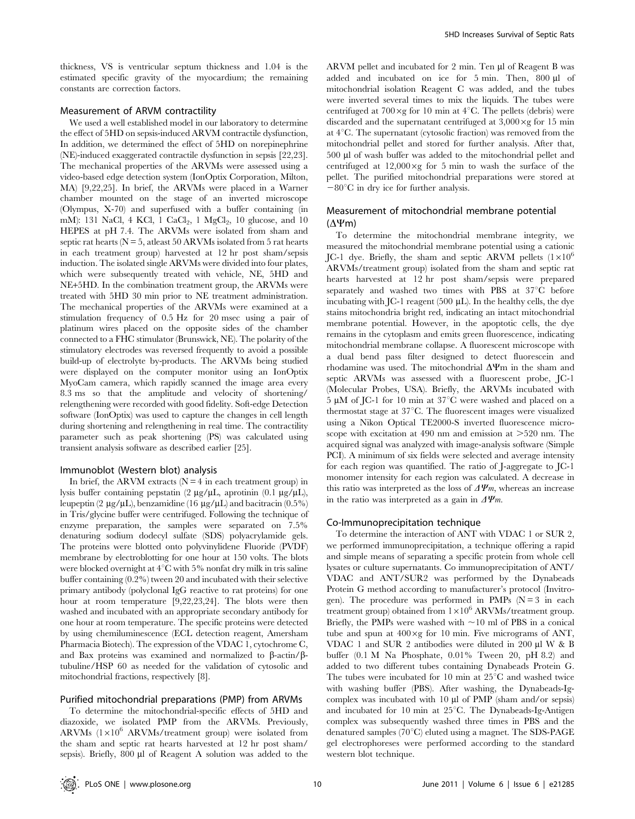thickness, VS is ventricular septum thickness and 1.04 is the estimated specific gravity of the myocardium; the remaining constants are correction factors.

# Measurement of ARVM contractility

We used a well established model in our laboratory to determine the effect of 5HD on sepsis-induced ARVM contractile dysfunction, In addition, we determined the effect of 5HD on norepinephrine (NE)-induced exaggerated contractile dysfunction in sepsis [22,23]. The mechanical properties of the ARVMs were assessed using a video-based edge detection system (IonOptix Corporation, Milton, MA) [9,22,25]. In brief, the ARVMs were placed in a Warner chamber mounted on the stage of an inverted microscope (Olympus, X-70) and superfused with a buffer containing (in mM): 131 NaCl, 4 KCl, 1 CaCl<sub>2</sub>, 1 MgCl<sub>2</sub>, 10 glucose, and 10 HEPES at pH 7.4. The ARVMs were isolated from sham and septic rat hearts ( $N = 5$ , at least 50 ARVMs isolated from 5 rat hearts in each treatment group) harvested at 12 hr post sham/sepsis induction. The isolated single ARVMs were divided into four plates, which were subsequently treated with vehicle, NE, 5HD and NE+5HD. In the combination treatment group, the ARVMs were treated with 5HD 30 min prior to NE treatment administration. The mechanical properties of the ARVMs were examined at a stimulation frequency of 0.5 Hz for 20 msec using a pair of platinum wires placed on the opposite sides of the chamber connected to a FHC stimulator (Brunswick, NE). The polarity of the stimulatory electrodes was reversed frequently to avoid a possible build-up of electrolyte by-products. The ARVMs being studied were displayed on the computer monitor using an IonOptix MyoCam camera, which rapidly scanned the image area every 8.3 ms so that the amplitude and velocity of shortening/ relengthening were recorded with good fidelity. Soft-edge Detection software (IonOptix) was used to capture the changes in cell length during shortening and relengthening in real time. The contractility parameter such as peak shortening (PS) was calculated using transient analysis software as described earlier [25].

# Immunoblot (Western blot) analysis

In brief, the ARVM extracts  $(N = 4$  in each treatment group) in lysis buffer containing pepstatin  $(2 \mu g / \mu L,$  aprotinin  $(0.1 \mu g / \mu L),$ leupeptin (2  $\mu$ g/ $\mu$ L), benzamidine (16  $\mu$ g/ $\mu$ L) and bacitracin (0.5%) in Tris/glycine buffer were centrifuged. Following the technique of enzyme preparation, the samples were separated on 7.5% denaturing sodium dodecyl sulfate (SDS) polyacrylamide gels. The proteins were blotted onto polyvinylidene Fluoride (PVDF) membrane by electroblotting for one hour at 150 volts. The blots were blocked overnight at  $4^{\circ}$ C with 5% nonfat dry milk in tris saline buffer containing (0.2%) tween 20 and incubated with their selective primary antibody (polyclonal IgG reactive to rat proteins) for one hour at room temperature [9,22,23,24]. The blots were then washed and incubated with an appropriate secondary antibody for one hour at room temperature. The specific proteins were detected by using chemiluminescence (ECL detection reagent, Amersham Pharmacia Biotech). The expression of the VDAC 1, cytochrome C, and Bax proteins was examined and normalized to  $\beta$ -actin/ $\beta$ tubuline/HSP 60 as needed for the validation of cytosolic and mitochondrial fractions, respectively [8].

### Purified mitochondrial preparations (PMP) from ARVMs

To determine the mitochondrial-specific effects of 5HD and diazoxide, we isolated PMP from the ARVMs. Previously, ARVMs  $(1\times10^6$  ARVMs/treatment group) were isolated from the sham and septic rat hearts harvested at 12 hr post sham/ sepsis). Briefly, 800 µl of Reagent A solution was added to the

ARVM pellet and incubated for 2 min. Ten µl of Reagent B was added and incubated on ice for  $5 \text{ min}$ . Then,  $800 \text{ }\mu\text{l}$  of mitochondrial isolation Reagent C was added, and the tubes were inverted several times to mix the liquids. The tubes were centrifuged at  $700 \times g$  for 10 min at  $4^{\circ}$ C. The pellets (debris) were discarded and the supernatant centrifuged at  $3,000 \times g$  for 15 min at  $4^{\circ}$ C. The supernatant (cytosolic fraction) was removed from the mitochondrial pellet and stored for further analysis. After that, 500 µl of wash buffer was added to the mitochondrial pellet and centrifuged at  $12,000 \times g$  for 5 min to wash the surface of the pellet. The purified mitochondrial preparations were stored at  $-80^{\circ}$ C in dry ice for further analysis.

# Measurement of mitochondrial membrane potential  $(\Delta \Psi m)$

To determine the mitochondrial membrane integrity, we measured the mitochondrial membrane potential using a cationic JC-1 dye. Briefly, the sham and septic ARVM pellets  $(1\times10^6$ ARVMs/treatment group) isolated from the sham and septic rat hearts harvested at 12 hr post sham/sepsis were prepared separately and washed two times with PBS at  $37^{\circ}$ C before incubating with JC-1 reagent  $(500 \mu L)$ . In the healthy cells, the dye stains mitochondria bright red, indicating an intact mitochondrial membrane potential. However, in the apoptotic cells, the dye remains in the cytoplasm and emits green fluorescence, indicating mitochondrial membrane collapse. A fluorescent microscope with a dual bend pass filter designed to detect fluorescein and rhodamine was used. The mitochondrial  $\Delta \Psi$ m in the sham and septic ARVMs was assessed with a fluorescent probe, JC-1 (Molecular Probes, USA). Briefly, the ARVMs incubated with  $5 \mu M$  of JC-1 for 10 min at 37 $\degree$ C were washed and placed on a thermostat stage at  $37^{\circ}$ C. The fluorescent images were visualized using a Nikon Optical TE2000-S inverted fluorescence microscope with excitation at  $490$  nm and emission at  $>520$  nm. The acquired signal was analyzed with image-analysis software (Simple PCI). A minimum of six fields were selected and average intensity for each region was quantified. The ratio of J-aggregate to JC-1 monomer intensity for each region was calculated. A decrease in this ratio was interpreted as the loss of  $\Delta \Psi_m$ , whereas an increase in the ratio was interpreted as a gain in  $\Delta \Psi_m$ .

#### Co-Immunoprecipitation technique

To determine the interaction of ANT with VDAC 1 or SUR 2, we performed immunoprecipitation, a technique offering a rapid and simple means of separating a specific protein from whole cell lysates or culture supernatants. Co immunoprecipitation of ANT/ VDAC and ANT/SUR2 was performed by the Dynabeads Protein G method according to manufacturer's protocol (Invitrogen). The procedure was performed in PMPs  $(N = 3$  in each treatment group) obtained from  $1\times10^6$  ARVMs/treatment group. Briefly, the PMPs were washed with  $\sim$ 10 ml of PBS in a conical tube and spun at  $400 \times g$  for 10 min. Five micrograms of ANT, VDAC 1 and SUR 2 antibodies were diluted in 200  $\mu$ I W & B buffer (0.1 M Na Phosphate, 0.01% Tween 20, pH 8.2) and added to two different tubes containing Dynabeads Protein G. The tubes were incubated for 10 min at  $25^{\circ}$ C and washed twice with washing buffer (PBS). After washing, the Dynabeads-Igcomplex was incubated with 10 µl of PMP (sham and/or sepsis) and incubated for 10 min at  $25^{\circ}$ C. The Dynabeads-Ig-Antigen complex was subsequently washed three times in PBS and the denatured samples (70°C) eluted using a magnet. The SDS-PAGE gel electrophoreses were performed according to the standard western blot technique.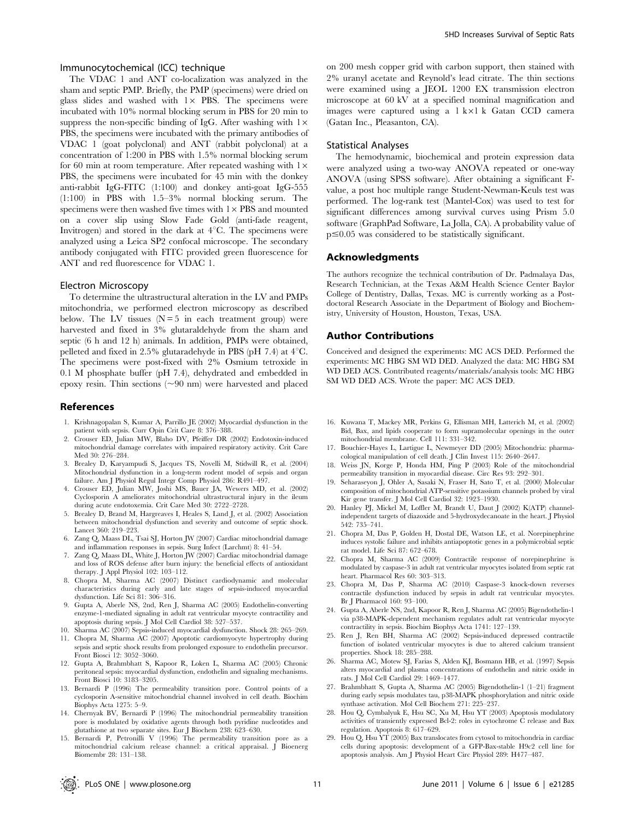# Immunocytochemical (ICC) technique

The VDAC 1 and ANT co-localization was analyzed in the sham and septic PMP. Briefly, the PMP (specimens) were dried on glass slides and washed with  $1 \times$  PBS. The specimens were incubated with 10% normal blocking serum in PBS for 20 min to suppress the non-specific binding of IgG. After washing with  $1 \times$ PBS, the specimens were incubated with the primary antibodies of VDAC 1 (goat polyclonal) and ANT (rabbit polyclonal) at a concentration of 1:200 in PBS with 1.5% normal blocking serum for 60 min at room temperature. After repeated washing with  $1 \times$ PBS, the specimens were incubated for 45 min with the donkey anti-rabbit IgG-FITC (1:100) and donkey anti-goat IgG-555 (1:100) in PBS with 1.5–3% normal blocking serum. The specimens were then washed five times with  $1 \times PBS$  and mounted on a cover slip using Slow Fade Gold (anti-fade reagent, Invitrogen) and stored in the dark at  $4^{\circ}$ C. The specimens were analyzed using a Leica SP2 confocal microscope. The secondary antibody conjugated with FITC provided green fluorescence for ANT and red fluorescence for VDAC 1.

#### Electron Microscopy

To determine the ultrastructural alteration in the LV and PMPs mitochondria, we performed electron microscopy as described below. The LV tissues  $(N=5$  in each treatment group) were harvested and fixed in 3% glutaraldehyde from the sham and septic (6 h and 12 h) animals. In addition, PMPs were obtained, pelleted and fixed in 2.5% glutaradehyde in PBS (pH 7.4) at  $4^{\circ}$ C. The specimens were post-fixed with 2% Osmium tetroxide in 0.1 M phosphate buffer (pH 7.4), dehydrated and embedded in epoxy resin. Thin sections  $(\sim 90 \text{ nm})$  were harvested and placed

#### References

- 1. Krishnagopalan S, Kumar A, Parrillo JE (2002) Myocardial dysfunction in the patient with sepsis. Curr Opin Crit Care 8: 376–388.
- 2. Crouser ED, Julian MW, Blaho DV, Pfeiffer DR (2002) Endotoxin-induced mitochondrial damage correlates with impaired respiratory activity. Crit Care Med 30: 276–284.
- 3. Brealey D, Karyampudi S, Jacques TS, Novelli M, Stidwill R, et al. (2004) Mitochondrial dysfunction in a long-term rodent model of sepsis and organ failure. Am J Physiol Regul Integr Comp Physiol 286: R491–497.
- 4. Crouser ED, Julian MW, Joshi MS, Bauer JA, Wewers MD, et al. (2002) Cyclosporin A ameliorates mitochondrial ultrastructural injury in the ileum during acute endotoxemia. Crit Care Med 30: 2722–2728.
- 5. Brealey D, Brand M, Hargreaves I, Heales S, Land J, et al. (2002) Association between mitochondrial dysfunction and severity and outcome of septic shock. Lancet 360: 219–223.
- 6. Zang Q, Maass DL, Tsai SJ, Horton JW (2007) Cardiac mitochondrial damage and inflammation responses in sepsis. Surg Infect (Larchmt) 8: 41–54.
- 7. Zang Q, Maass DL, White J, Horton JW (2007) Cardiac mitochondrial damage and loss of ROS defense after burn injury: the beneficial effects of antioxidant therapy. J Appl Physiol 102: 103–112.
- 8. Chopra M, Sharma AC (2007) Distinct cardiodynamic and molecular characteristics during early and late stages of sepsis-induced myocardial dysfunction. Life Sci 81: 306–316.
- 9. Gupta A, Aberle NS, 2nd, Ren J, Sharma AC (2005) Endothelin-converting enzyme-1-mediated signaling in adult rat ventricular myocyte contractility and apoptosis during sepsis. J Mol Cell Cardiol 38: 527–537.
- 10. Sharma AC (2007) Sepsis-induced myocardial dysfunction. Shock 28: 265–269.
- 11. Chopra M, Sharma AC (2007) Apoptotic cardiomyocyte hypertrophy during sepsis and septic shock results from prolonged exposure to endothelin precursor. Front Biosci 12: 3052–3060.
- 12. Gupta A, Brahmbhatt S, Kapoor R, Loken L, Sharma AC (2005) Chronic peritoneal sepsis: myocardial dysfunction, endothelin and signaling mechanisms. Front Biosci 10: 3183–3205.
- 13. Bernardi P (1996) The permeability transition pore. Control points of a cyclosporin A-sensitive mitochondrial channel involved in cell death. Biochim Biophys Acta 1275: 5–9.
- 14. Chernyak BV, Bernardi P (1996) The mitochondrial permeability transition pore is modulated by oxidative agents through both pyridine nucleotides and glutathione at two separate sites. Eur J Biochem 238: 623–630.
- 15. Bernardi P, Petronilli V (1996) The permeability transition pore as a mitochondrial calcium release channel: a critical appraisal. J Bioenerg Biomembr 28: 131–138.

on 200 mesh copper grid with carbon support, then stained with 2% uranyl acetate and Reynold's lead citrate. The thin sections were examined using a JEOL 1200 EX transmission electron microscope at 60 kV at a specified nominal magnification and images were captured using a  $1 \text{ k} \times 1 \text{ k}$  Gatan CCD camera (Gatan Inc., Pleasanton, CA).

# Statistical Analyses

The hemodynamic, biochemical and protein expression data were analyzed using a two-way ANOVA repeated or one-way ANOVA (using SPSS software). After obtaining a significant Fvalue, a post hoc multiple range Student-Newman-Keuls test was performed. The log-rank test (Mantel-Cox) was used to test for significant differences among survival curves using Prism 5.0 software (GraphPad Software, La Jolla, CA). A probability value of  $p \leq 0.05$  was considered to be statistically significant.

#### Acknowledgments

The authors recognize the technical contribution of Dr. Padmalaya Das, Research Technician, at the Texas A&M Health Science Center Baylor College of Dentistry, Dallas, Texas. MC is currently working as a Postdoctoral Research Associate in the Department of Biology and Biochemistry, University of Houston, Houston, Texas, USA.

# Author Contributions

Conceived and designed the experiments: MC ACS DED. Performed the experiments: MC HBG SM WD DED. Analyzed the data: MC HBG SM WD DED ACS. Contributed reagents/materials/analysis tools: MC HBG SM WD DED ACS. Wrote the paper: MC ACS DED.

- 16. Kuwana T, Mackey MR, Perkins G, Ellisman MH, Latterich M, et al. (2002) Bid, Bax, and lipids cooperate to form supramolecular openings in the outer mitochondrial membrane. Cell 111: 331–342.
- 17. Bouchier-Hayes L, Lartigue L, Newmeyer DD (2005) Mitochondria: pharmacological manipulation of cell death. J Clin Invest 115: 2640–2647.
- 18. Weiss JN, Korge P, Honda HM, Ping P (2003) Role of the mitochondrial permeability transition in myocardial disease. Circ Res 93: 292–301.
- 19. Seharaseyon J, Ohler A, Sasaki N, Fraser H, Sato T, et al. (2000) Molecular composition of mitochondrial ATP-sensitive potassium channels probed by viral Kir gene transfer. J Mol Cell Cardiol 32: 1923–1930.
- 20. Hanley PJ, Mickel M, Loffler M, Brandt U, Daut J (2002) K(ATP) channelindependent targets of diazoxide and 5-hydroxydecanoate in the heart. J Physiol 542: 735–741.
- 21. Chopra M, Das P, Golden H, Dostal DE, Watson LE, et al. Norepinephrine induces systolic failure and inhibits antiapoptotic genes in a polymicrobial septic rat model. Life Sci 87: 672–678.
- 22. Chopra M, Sharma AC (2009) Contractile response of norepinephrine is modulated by caspase-3 in adult rat ventricular myocytes isolated from septic rat heart. Pharmacol Res 60: 303–313.
- 23. Chopra M, Das P, Sharma AC (2010) Caspase-3 knock-down reverses contractile dysfunction induced by sepsis in adult rat ventricular myocytes. Br J Pharmacol 160: 93–100.
- 24. Gupta A, Aberle NS, 2nd, Kapoor R, Ren J, Sharma AC (2005) Bigendothelin-1 via p38-MAPK-dependent mechanism regulates adult rat ventricular myocyte contractility in sepsis. Biochim Biophys Acta 1741: 127–139.
- 25. Ren J, Ren BH, Sharma AC (2002) Sepsis-induced depressed contractile function of isolated ventricular myocytes is due to altered calcium transient properties. Shock 18: 285–288.
- 26. Sharma AC, Motew SJ, Farias S, Alden KJ, Bosmann HB, et al. (1997) Sepsis alters myocardial and plasma concentrations of endothelin and nitric oxide in rats. J Mol Cell Cardiol 29: 1469–1477.
- 27. Brahmbhatt S, Gupta A, Sharma AC (2005) Bigendothelin-1 (1–21) fragment during early sepsis modulates tau, p38-MAPK phosphorylation and nitric oxide synthase activation. Mol Cell Biochem 271: 225–237.
- 28. Hou Q, Cymbalyuk E, Hsu SC, Xu M, Hsu YT (2003) Apoptosis modulatory activities of transiently expressed Bcl-2: roles in cytochrome C release and Bax regulation. Apoptosis 8: 617–629.
- 29. Hou Q, Hsu YT (2005) Bax translocates from cytosol to mitochondria in cardiac cells during apoptosis: development of a GFP-Bax-stable H9c2 cell line for apoptosis analysis. Am J Physiol Heart Circ Physiol 289: H477–487.